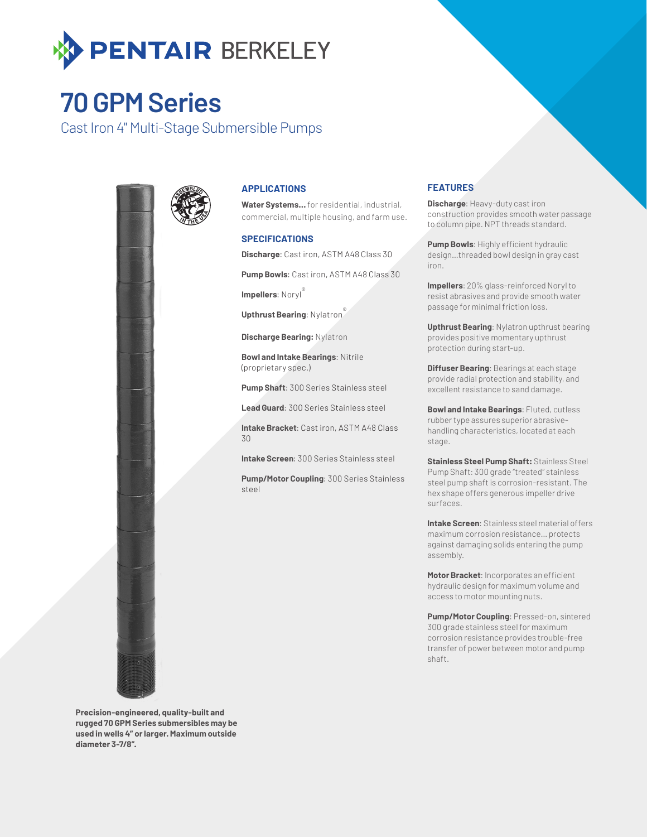

## **70 GPM Series**

Cast Iron 4" Multi-Stage Submersible Pumps



### **APPLICATIONS**

**Water Systems…** for residential, industrial, commercial, multiple housing, and farm use.

#### **SPECIFICATIONS**

**Discharge**: Cast iron, ASTM A48 Class 30

**Pump Bowls**: Cast iron, ASTM A48 Class 30

**Impellers: Noryl** 

**Upthrust Bearing**: Nylatron®

**Discharge Bearing:** Nylatron

**Bowl and Intake Bearings**: Nitrile (proprietary spec.)

**Pump Shaft**: 300 Series Stainless steel

**Lead Guard**: 300 Series Stainless steel

**Intake Bracket**: Cast iron, ASTM A48 Class 30

**Intake Screen**: 300 Series Stainless steel

**Pump/Motor Coupling**: 300 Series Stainless steel

### **FEATURES**

**Discharge**: Heavy-duty cast iron construction provides smooth water passage to column pipe. NPT threads standard.

**Pump Bowls**: Highly efficient hydraulic design…threaded bowl design in gray cast iron.

**Impellers**: 20% glass-reinforced Noryl to resist abrasives and provide smooth water passage for minimal friction loss.

**Upthrust Bearing**: Nylatron upthrust bearing provides positive momentary upthrust protection during start-up.

**Diffuser Bearing**: Bearings at each stage provide radial protection and stability, and excellent resistance to sand damage.

**Bowl and Intake Bearings**: Fluted, cutless rubber type assures superior abrasivehandling characteristics, located at each stage.

**Stainless Steel Pump Shaft:** Stainless Steel Pump Shaft: 300 grade "treated" stainless steel pump shaft is corrosion-resistant. The hex shape offers generous impeller drive surfaces.

**Intake Screen**: Stainless steel material offers maximum corrosion resistance… protects against damaging solids entering the pump assembly.

**Motor Bracket**: Incorporates an efficient hydraulic design for maximum volume and access to motor mounting nuts.

**Pump/Motor Coupling**: Pressed-on, sintered 300 grade stainless steel for maximum corrosion resistance provides trouble-free transfer of power between motor and pump shaft.

**Precision-engineered, quality-built and rugged 70 GPM Series submersibles may be used in wells 4" or larger. Maximum outside diameter 3-7/8".**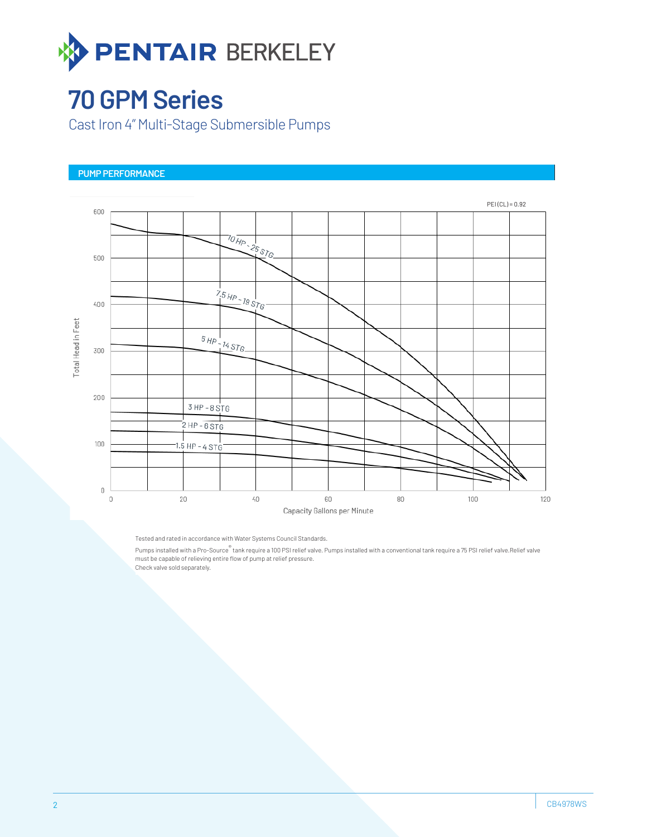

## **70 GPM Series**

Cast Iron 4" Multi-Stage Submersible Pumps

## **PUMP PERFORMANCE**



Tested and rated in accordance with Water Systems Council Standards.

Pumps installed with a Pro-Source® tank require a 100 PSI relief valve. Pumps installed with a conventional tank require a 75 PSI relief valve.Relief valve must be capable of relieving entire flow of pump at relief pressure. Check valve sold separately.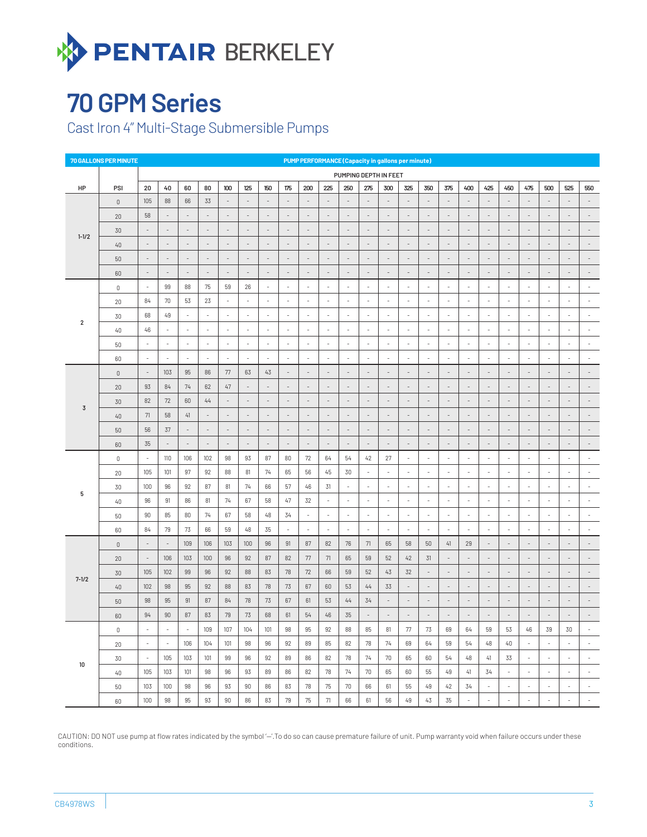

# **70 GPM Series**

Cast Iron 4" Multi-Stage Submersible Pumps

| 70 GALLONS PER MINUTE<br><b>PUMP PERFORMANCE (Capacity in gallons per minute)</b> |             |                          |                          |                          |                          |                          |        |                          |                          |                          |                          |                          |                          |                          |                              |                          |                          |                          |                          |                          |                          |                          |                          |                          |
|-----------------------------------------------------------------------------------|-------------|--------------------------|--------------------------|--------------------------|--------------------------|--------------------------|--------|--------------------------|--------------------------|--------------------------|--------------------------|--------------------------|--------------------------|--------------------------|------------------------------|--------------------------|--------------------------|--------------------------|--------------------------|--------------------------|--------------------------|--------------------------|--------------------------|--------------------------|
|                                                                                   |             | PUMPING DEPTH IN FEET    |                          |                          |                          |                          |        |                          |                          |                          |                          |                          |                          |                          |                              |                          |                          |                          |                          |                          |                          |                          |                          |                          |
| HP                                                                                | PSI         | 20                       | 40                       | 60                       | 80                       | 100                      | 125    | 150                      | 175                      | 200                      | 225                      | 250                      | 275                      | 300                      | 325                          | 350                      | 375                      | 400                      | 425                      | 450                      | 475                      | 500                      | 525                      | 550                      |
| $1 - 1/2$                                                                         | $\mathbb O$ | 105                      | 88                       | 66                       | 33                       | $\overline{\phantom{a}}$ |        | $\sim$                   | $\sim$                   | $\sim$                   | ÷                        |                          | $\sim$                   | $\sim$                   | $\overline{a}$               | $\overline{\phantom{a}}$ |                          | $\sim$                   | $\sim$                   | ÷                        | ÷                        |                          | $\sim$                   | $\sim$                   |
|                                                                                   | 20          | 58                       | $\overline{\phantom{a}}$ |                          | $\overline{\phantom{a}}$ | $\overline{\phantom{a}}$ |        | $\overline{\phantom{a}}$ | $\overline{\phantom{a}}$ | $\overline{\phantom{a}}$ | $\overline{\phantom{a}}$ |                          | $\overline{\phantom{a}}$ | $\overline{\phantom{a}}$ |                              | $\overline{\phantom{a}}$ |                          | $\overline{\phantom{a}}$ |                          |                          |                          |                          | $\overline{\phantom{a}}$ |                          |
|                                                                                   | 30          |                          | $\overline{\phantom{a}}$ |                          | $\sim$                   | $\sim$                   |        | ×,                       | $\overline{\phantom{a}}$ | $\overline{\phantom{a}}$ | ٠                        |                          | $\overline{\phantom{a}}$ | $\overline{a}$           |                              | $\overline{\phantom{a}}$ |                          | $\sim$                   | $\overline{a}$           |                          |                          |                          | $\sim$                   |                          |
|                                                                                   | 40          | $\overline{\phantom{a}}$ | $\overline{\phantom{a}}$ | $\overline{\phantom{a}}$ | $\overline{\phantom{a}}$ | $\overline{\phantom{a}}$ |        | $\overline{\phantom{a}}$ | $\overline{\phantom{a}}$ | $\overline{\phantom{a}}$ | $\overline{\phantom{a}}$ | $\overline{\phantom{a}}$ | $\overline{\phantom{a}}$ | $\overline{\phantom{a}}$ | $\qquad \qquad -$            | $\centerdot$             |                          | $\overline{\phantom{a}}$ | $\centerdot$             | $\overline{\phantom{a}}$ | $\overline{\phantom{a}}$ |                          | $\overline{\phantom{a}}$ |                          |
|                                                                                   | 50          |                          | $\overline{\phantom{a}}$ | $\sim$                   | $\sim$                   | $\sim$                   |        | $\overline{\phantom{a}}$ | $\sim$                   | $\sim$                   | $\overline{\phantom{a}}$ | ٠                        | $\overline{\phantom{a}}$ | $\overline{\phantom{a}}$ | ٠                            | $\overline{\phantom{a}}$ |                          | $\overline{\phantom{a}}$ | $\overline{\phantom{a}}$ | $\overline{a}$           | ٠                        |                          | $\sim$                   | $\sim$                   |
|                                                                                   | 60          |                          | $\overline{\phantom{a}}$ |                          | $\overline{\phantom{a}}$ | $\overline{\phantom{a}}$ |        | $\overline{\phantom{a}}$ | $\overline{\phantom{a}}$ | $\overline{\phantom{a}}$ |                          |                          | $\overline{\phantom{a}}$ | $\overline{a}$           |                              | $\overline{\phantom{a}}$ |                          | $\overline{\phantom{a}}$ |                          |                          |                          |                          | $\overline{\phantom{a}}$ |                          |
|                                                                                   | $\,0\,$     | $\sim$                   | 99                       | 88                       | 75                       | 59                       | 26     | $\sim$                   | ×.                       | $\sim$                   | $\sim$                   | ×                        | $\sim$                   | $\sim$                   | ×.                           | ×.                       |                          | $\sim$                   | $\overline{\phantom{a}}$ | ÷                        | ÷.                       |                          | ×.                       | ×.                       |
|                                                                                   | 20          | 84                       | 70                       | 53                       | 23                       | $\overline{\phantom{a}}$ | ÷      | $\overline{\phantom{a}}$ | $\overline{\phantom{a}}$ | $\overline{\phantom{a}}$ | $\overline{\phantom{a}}$ | $\overline{\phantom{a}}$ | $\overline{\phantom{a}}$ | $\overline{\phantom{a}}$ | $\overline{\phantom{a}}$     | $\overline{\phantom{a}}$ | ÷                        | $\overline{\phantom{a}}$ | $\overline{\phantom{a}}$ | $\overline{\phantom{a}}$ | $\overline{\phantom{a}}$ | ÷                        | $\overline{\phantom{a}}$ | $\overline{\phantom{a}}$ |
|                                                                                   | 30          | 68                       | 49                       | $\overline{\phantom{a}}$ | $\overline{\phantom{a}}$ | $\sim$                   | J.     | $\sim$                   | $\sim$                   | $\overline{\phantom{a}}$ | $\sim$                   | $\sim$                   | $\overline{\phantom{a}}$ | $\sim$                   | $\overline{\phantom{a}}$     | $\overline{\phantom{a}}$ | $\sim$                   | $\overline{\phantom{a}}$ | $\overline{\phantom{a}}$ | $\sim$                   | $\sim$                   | ÷,                       | $\sim$                   | $\sim$                   |
| $\overline{2}$                                                                    | 40          | 46                       | $\overline{\phantom{a}}$ | $\overline{\phantom{a}}$ | $\sim$                   | $\overline{\phantom{a}}$ | ÷,     | $\overline{\phantom{a}}$ | $\sim$                   | $\overline{\phantom{a}}$ | $\sim$                   | $\overline{\phantom{a}}$ | $\overline{\phantom{a}}$ | $\overline{\phantom{a}}$ | $\overline{\phantom{m}}$     | $\overline{a}$           | $\sim$                   | $\overline{\phantom{a}}$ | $\overline{a}$           | ×                        | $\overline{a}$           | ٠                        | $\sim$                   | ٠                        |
|                                                                                   | 50          | $\overline{\phantom{a}}$ | $\overline{\phantom{a}}$ | $\overline{\phantom{a}}$ | $\sim$                   | ÷,                       |        | ٠                        | ÷,                       | $\overline{\phantom{a}}$ | $\sim$                   | i,                       | $\overline{a}$           | ×                        | $\sim$                       | ٠                        |                          | $\overline{\phantom{a}}$ | $\overline{a}$           | ٠                        | ٠                        |                          | $\sim$                   | $\sim$                   |
|                                                                                   | 60          | $\overline{\phantom{a}}$ | $\overline{\phantom{a}}$ | $\overline{\phantom{a}}$ | $\overline{\phantom{a}}$ | $\overline{\phantom{a}}$ | ÷      | $\overline{\phantom{a}}$ | $\overline{\phantom{a}}$ | $\overline{\phantom{a}}$ | $\overline{\phantom{a}}$ | $\overline{\phantom{a}}$ | $\overline{\phantom{a}}$ | $\overline{\phantom{a}}$ | $\overline{\phantom{a}}$     | $\overline{\phantom{a}}$ | ÷                        | $\overline{\phantom{a}}$ | $\overline{\phantom{a}}$ | ÷                        | $\overline{\phantom{a}}$ | ÷                        | $\overline{\phantom{a}}$ |                          |
| $\overline{3}$                                                                    | $\mathbb O$ | $\sim$                   | 103                      | 95                       | 86                       | 77                       | 63     | 43                       | $\sim$                   | $\sim$                   | ÷                        | ÷,                       | $\overline{\phantom{a}}$ | $\sim$                   | $\overline{\phantom{a}}$     | $\overline{a}$           |                          | $\sim$                   | $\overline{\phantom{a}}$ | ÷                        | ÷                        |                          | $\sim$                   | $\sim$                   |
|                                                                                   | 20          | 93                       | 84                       | 74                       | 62                       | $47\,$                   |        | $\overline{\phantom{a}}$ | $\overline{\phantom{a}}$ | $\overline{\phantom{a}}$ |                          |                          | $\overline{\phantom{a}}$ | $\overline{\phantom{a}}$ |                              | $\overline{\phantom{a}}$ |                          | $\overline{\phantom{a}}$ | $\overline{a}$           |                          |                          |                          | $\overline{\phantom{a}}$ |                          |
|                                                                                   | 30          | 82                       | 72                       | 60                       | 44                       | $\overline{\phantom{a}}$ |        | ×,                       | $\overline{\phantom{a}}$ | $\sim$                   |                          |                          | $\overline{\phantom{a}}$ | $\overline{a}$           |                              | $\overline{\phantom{a}}$ |                          | $\sim$                   | $\overline{a}$           |                          |                          |                          | $\sim$                   |                          |
|                                                                                   | 40          | 71                       | 58                       | 41                       | $\overline{\phantom{a}}$ | $\overline{\phantom{a}}$ | ×,     | $\overline{\phantom{a}}$ | $\overline{\phantom{a}}$ | $\overline{\phantom{a}}$ | $\overline{\phantom{a}}$ | $\overline{\phantom{a}}$ | $\overline{\phantom{a}}$ | $\overline{\phantom{a}}$ | $\qquad \qquad \blacksquare$ | $\centerdot$             |                          | $\overline{\phantom{a}}$ | $\overline{\phantom{a}}$ | $\overline{\phantom{a}}$ | $\overline{\phantom{a}}$ |                          | $\overline{\phantom{a}}$ |                          |
|                                                                                   | 50          | 56                       | 37                       | $\overline{\phantom{a}}$ | $\sim$                   | $\sim$                   | ٠      | $\overline{\phantom{a}}$ | $\sim$                   | $\sim$                   | ٠                        | ٠                        | $\overline{\phantom{a}}$ | $\overline{\phantom{a}}$ | $\overline{\phantom{a}}$     | $\overline{\phantom{a}}$ |                          | $\overline{\phantom{a}}$ | $\overline{\phantom{a}}$ | $\overline{a}$           | ٠                        |                          | $\sim$                   | $\sim$                   |
|                                                                                   | 60          | 35                       | $\overline{\phantom{a}}$ | $\overline{\phantom{a}}$ | $\sim$                   | $\overline{\phantom{a}}$ |        | $\overline{\phantom{a}}$ | $\overline{\phantom{a}}$ | $\overline{\phantom{a}}$ |                          |                          | $\overline{\phantom{a}}$ | $\overline{\phantom{a}}$ |                              |                          |                          | $\overline{\phantom{a}}$ |                          |                          |                          |                          | $\overline{\phantom{a}}$ |                          |
| 5                                                                                 | $\,0\,$     | $\sim$                   | 110                      | 106                      | 102                      | 98                       | 93     | 87                       | 80                       | 72                       | 64                       | 54                       | 42                       | 27                       | ×.                           | $\overline{\phantom{a}}$ |                          | $\sim$                   | $\overline{\phantom{a}}$ | ٠                        | ÷,                       |                          | $\sim$                   | ×.                       |
|                                                                                   | 20          | 105                      | 101                      | 97                       | 92                       | 88                       | 81     | 74                       | 65                       | 56                       | 45                       | 30                       | $\overline{\phantom{a}}$ | $\overline{\phantom{a}}$ | $\overline{\phantom{a}}$     | $\overline{\phantom{a}}$ | $\overline{\phantom{a}}$ | $\overline{\phantom{a}}$ | $\overline{\phantom{a}}$ | $\overline{\phantom{a}}$ | $\overline{\phantom{a}}$ | $\overline{a}$           | $\overline{\phantom{a}}$ | ÷                        |
|                                                                                   | 30          | 100                      | 96                       | 92                       | 87                       | 81                       | 74     | 66                       | 57                       | 46                       | 31                       | $\overline{a}$           | $\overline{\phantom{a}}$ | $\overline{\phantom{a}}$ | $\overline{\phantom{a}}$     | $\overline{a}$           |                          | $\overline{\phantom{a}}$ | $\overline{a}$           | $\overline{\phantom{a}}$ | $\overline{a}$           | ٠                        | $\overline{\phantom{a}}$ | $\sim$                   |
|                                                                                   | 40          | 96                       | 91                       | 86                       | 81                       | 74                       | 67     | 58                       | 47                       | 32                       | $\overline{\phantom{a}}$ | $\overline{a}$           | $\overline{\phantom{a}}$ | $\overline{\phantom{a}}$ | $\overline{\phantom{m}}$     | $\overline{a}$           | $\sim$                   | $\overline{\phantom{a}}$ | $\overline{a}$           | $\overline{a}$           | $\overline{a}$           | $\overline{a}$           | $\sim$                   |                          |
|                                                                                   | 50          | 90                       | 85                       | 80                       | 74                       | 67                       | 58     | 48                       | 34                       | $\overline{\phantom{a}}$ | $\sim$                   | $\sim$                   | $\overline{\phantom{a}}$ | $\overline{\phantom{a}}$ | ٠                            | $\overline{\phantom{a}}$ | i.                       | $\sim$                   | $\overline{\phantom{a}}$ | ٠                        | ÷,                       |                          | $\sim$                   | ×                        |
|                                                                                   | 60          | 84                       | 79                       | 73                       | 66                       | 59                       | 48     | 35                       | $\overline{\phantom{a}}$ | $\overline{\phantom{a}}$ | $\overline{\phantom{a}}$ | $\overline{\phantom{a}}$ | $\overline{\phantom{a}}$ | $\overline{\phantom{a}}$ | $\overline{\phantom{a}}$     | $\overline{\phantom{a}}$ | ÷                        | $\overline{\phantom{a}}$ | $\overline{\phantom{a}}$ | ÷                        | $\overline{\phantom{a}}$ | ł,                       | $\overline{\phantom{a}}$ |                          |
| $7 - 1/2$                                                                         | $\mathbb O$ | ÷,                       | $\sim$                   | 109                      | 106                      | 103                      | 100    | 96                       | 91                       | 87                       | 82                       | 76                       | 71                       | 65                       | 58                           | 50                       | 41                       | 29                       | $\overline{\phantom{a}}$ | $\sim$                   | J.                       |                          | $\sim$                   | $\sim$                   |
|                                                                                   | 20          |                          | 106                      | 103                      | 100                      | 96                       | 92     | 87                       | 82                       | $77\,$                   | 71                       | 65                       | 59                       | 52                       | 42                           | 31                       |                          | $\overline{\phantom{a}}$ | $\overline{a}$           |                          |                          |                          | $\overline{\phantom{a}}$ |                          |
|                                                                                   | 30          | 105                      | 102                      | 99                       | 96                       | 92                       | 88     | 83                       | 78                       | 72                       | 66                       | 59                       | 52                       | 43                       | 32                           | $\overline{\phantom{a}}$ |                          | $\sim$                   | $\overline{a}$           |                          |                          |                          | ٠                        |                          |
|                                                                                   | 40          | 102                      | 98                       | 95                       | 92                       | 88                       | 83     | 78                       | 73                       | 67                       | 60                       | 53                       | 44                       | 33                       | $\qquad \qquad \blacksquare$ | $\centerdot$             |                          | $\overline{\phantom{a}}$ | $\centerdot$             | $\overline{\phantom{a}}$ | $\overline{\phantom{a}}$ |                          | $\overline{\phantom{a}}$ |                          |
|                                                                                   | 50          | 98                       | 95                       | 91                       | 87                       | 84                       | 78     | 73                       | 67                       | 61                       | 53                       | 44                       | 34                       | $\overline{\phantom{a}}$ | $\overline{\phantom{a}}$     | $\overline{\phantom{a}}$ |                          | $\overline{\phantom{a}}$ | $\overline{a}$           | $\overline{a}$           | ٠                        |                          | $\sim$                   |                          |
|                                                                                   | 60          | 94                       | 90                       | 87                       | 83                       | $79\,$                   | 73     | 68                       | 61                       | 54                       | 46                       | 35                       | $\overline{\phantom{a}}$ |                          |                              |                          |                          | $\overline{a}$           |                          |                          |                          |                          | $\overline{\phantom{a}}$ |                          |
| 10                                                                                | 0           | $\overline{\phantom{a}}$ | $\sim$                   | $\overline{\phantom{a}}$ | 109                      | 107                      | 104    | 101                      | 98                       | 95                       | 92                       | 88                       | 85                       | 81                       | 77                           | 73                       | 69                       | 64                       | 59                       | 53                       | 46                       | 39                       | 30                       | $\sim$                   |
|                                                                                   | 20          | $\sim$                   | $\sim$                   | 106                      | 104                      | 101                      | 98     | 96                       | 92                       | 89                       | 85                       | 82                       | 78                       | 74                       | 69                           | 64                       | 59                       | 54                       | 48                       | 40                       | $\sim$                   | $\overline{\phantom{a}}$ | $\sim$                   | $\sim$                   |
|                                                                                   | 30          | $\sim$                   | 105                      | 103                      | 101                      | 99                       | 96     | 92                       | 89                       | 86                       | 82                       | 78                       | 74                       | 70                       | 65                           | 60                       | 54                       | 48                       | 41                       | 33                       | $\sim$                   | $\overline{\phantom{a}}$ | $\sim$                   | $\sim$                   |
|                                                                                   | 40          | 105                      | 103                      | 101                      | 98                       | 96                       | 93     | 89                       | 86                       | 82                       | 78                       | 74                       | 70                       | 65                       | 60                           | 55                       | 49                       | 41                       | 34                       | $\sim$                   | $\overline{\phantom{a}}$ | $\overline{\phantom{a}}$ | $\sim$                   | $\sim$                   |
|                                                                                   | 50          | 103                      | 100                      | 98                       | 96                       | 93                       | $90\,$ | 86                       | 83                       | 78                       | 75                       | 70                       | 66                       | 61                       | 55                           | 49                       | 42                       | 34                       | $\overline{\phantom{a}}$ | $\sim$                   | $\overline{\phantom{a}}$ | $\overline{\phantom{a}}$ | $\overline{\phantom{a}}$ | $\sim$                   |
|                                                                                   | 60          | 100                      | 98                       | 95                       | 93                       | 90                       | 86     | 83                       | 79                       | 75                       | 71                       | 66                       | 61                       | 56                       | 49                           | 43                       | 35                       | $\overline{\phantom{a}}$ | $\overline{\phantom{a}}$ | $\overline{\phantom{a}}$ | $\overline{\phantom{a}}$ | $\overline{\phantom{a}}$ | $\overline{\phantom{a}}$ | $\sim$                   |

CAUTION: DO NOT use pump at flow rates indicated by the symbol '-'.To do so can cause premature failure of unit. Pump warranty void when failure occurs under these conditions.